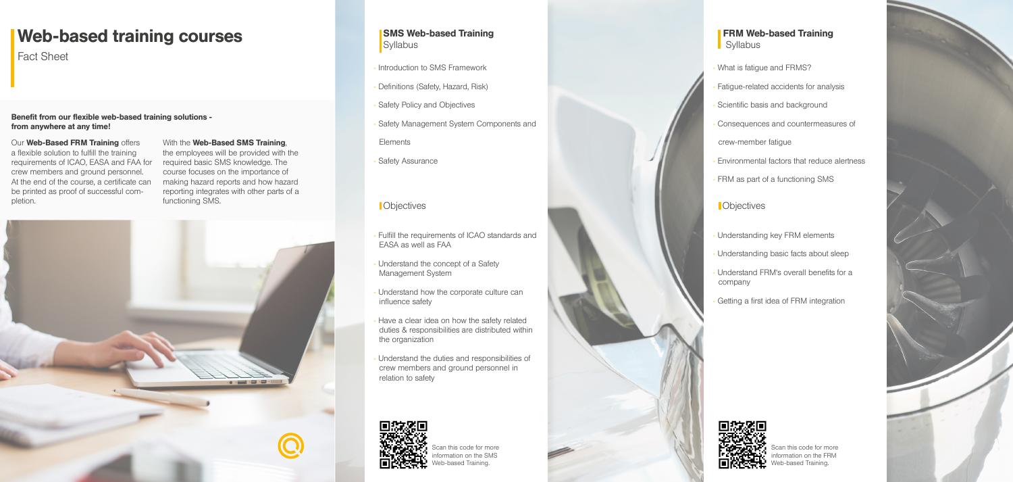Our Web-Based FRM Training offers a flexible solution to fulfill the training requirements of ICAO, EASA and FAA for crew members and ground personnel. At the end of the course, a certificate can be printed as proof of successful completion.

With the Web-Based SMS Training. the employees will be provided with the

required basic SMS knowledge. The course focuses on the importance of making hazard reports and how hazard reporting integrates with other parts of a functioning SMS.



#### Benefit from our flexible web-based training solutions from anywhere at any time!

# Web-based training courses

Fact Sheet

#### SMS Web-based Training **Syllabus**

- What is fatigue and FRMS?
- Fatigue-related accidents for analysis
- Scientific basis and background
- Consequences and countermeasures of
- crew-member fatigue
- Environmental factors that reduce alertness
- FRM as part of a functioning SMS
	-
- Understanding key FRM elements
- Understanding basic facts about sleep
- Understand FRM's overall benefits for a company
- Getting a first idea of FRM integration

#### FRM Web-based Training **Syllabus**

Scan this code for more information on the FRM eb-based Training.



Scan this code for more information on the SMS b-based Training



- Introduction to SMS Framework
- Definitions (Safety, Hazard, Risk)
- Safety Policy and Objectives
- Safety Management System Components and

**Elements** 

- Safety Assurance

### **Notified in the contract of the contract of the contract of the contract of the contract of the contract of the contract of the contract of the contract of the contract of the contract of the contract of the contract of t**

- Fulfill the requirements of ICAO standards and EASA as well as FAA
- Understand the concept of a Safety Management System
- Understand how the corporate culture can influence safety
- Have a clear idea on how the safety related duties & responsibilities are distributed within the organization
- Understand the duties and responsibilities of crew members and ground personnel in relation to safety